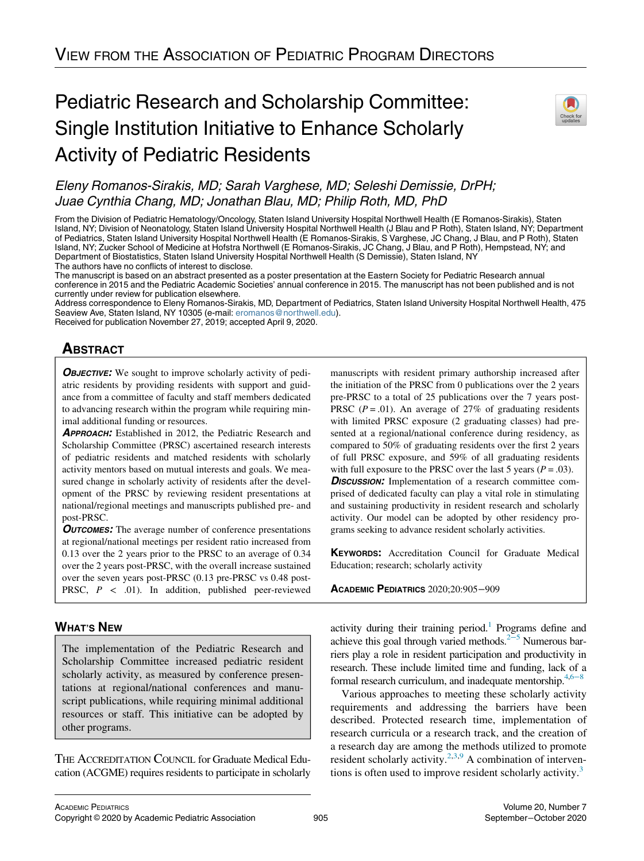# Pediatric Research and Scholarship Committee: Single Institution Initiative to Enhance Scholarly Activity of Pediatric Residents



Eleny Romanos-Sirakis, MD; Sarah Varghese, MD; Seleshi Demissie, DrPH; Juae Cynthia Chang, MD; Jonathan Blau, MD; Philip Roth, MD, PhD

From the Division of Pediatric Hematology/Oncology, Staten Island University Hospital Northwell Health (E Romanos-Sirakis), Staten Island, NY; Division of Neonatology, Staten Island University Hospital Northwell Health (J Blau and P Roth), Staten Island, NY; Department of Pediatrics, Staten Island University Hospital Northwell Health (E Romanos-Sirakis, S Varghese, JC Chang, J Blau, and P Roth), Staten Island, NY; Zucker School of Medicine at Hofstra Northwell (E Romanos-Sirakis, JC Chang, J Blau, and P Roth), Hempstead, NY; and Department of Biostatistics, Staten Island University Hospital Northwell Health (S Demissie), Staten Island, NY The authors have no conflicts of interest to disclose.

The manuscript is based on an abstract presented as a poster presentation at the Eastern Society for Pediatric Research annual conference in 2015 and the Pediatric Academic Societies' annual conference in 2015. The manuscript has not been published and is not currently under review for publication elsewhere.

Address correspondence to Eleny Romanos-Sirakis, MD, Department of Pediatrics, Staten Island University Hospital Northwell Health, 475 Seaview Ave, Staten Island, NY 10305 (e-mail: [eromanos@northwell.edu\)](mailto:eromanos@northwell.edu).

Received for publication November 27, 2019; accepted April 9, 2020.

### **ABSTRACT** <u>ABSTRACT</u>

**OBJECTIVE:** We sought to improve scholarly activity of pediatric residents by providing residents with support and guidance from a committee of faculty and staff members dedicated to advancing research within the program while requiring minimal additional funding or resources.

APPROACH: Established in 2012, the Pediatric Research and Scholarship Committee (PRSC) ascertained research interests of pediatric residents and matched residents with scholarly activity mentors based on mutual interests and goals. We measured change in scholarly activity of residents after the development of the PRSC by reviewing resident presentations at national/regional meetings and manuscripts published pre- and post-PRSC.

**OUTCOMES:** The average number of conference presentations at regional/national meetings per resident ratio increased from 0.13 over the 2 years prior to the PRSC to an average of 0.34 over the 2 years post-PRSC, with the overall increase sustained over the seven years post-PRSC (0.13 pre-PRSC vs 0.48 post-PRSC,  $P \lt 0.01$ . In addition, published peer-reviewed

### **WHAT'S NEW** WHAT'S NEWSFILM

The implementation of the Pediatric Research and Scholarship Committee increased pediatric resident scholarly activity, as measured by conference presentations at regional/national conferences and manuscript publications, while requiring minimal additional resources or staff. This initiative can be adopted by other programs.

THE ACCREDITATION COUNCIL for Graduate Medical Education (ACGME) requires residents to participate in scholarly manuscripts with resident primary authorship increased after the initiation of the PRSC from 0 publications over the 2 years pre-PRSC to a total of 25 publications over the 7 years post-PRSC ( $P = .01$ ). An average of 27% of graduating residents with limited PRSC exposure (2 graduating classes) had presented at a regional/national conference during residency, as compared to 50% of graduating residents over the first 2 years of full PRSC exposure, and 59% of all graduating residents with full exposure to the PRSC over the last 5 years ( $P = .03$ ). **DISCUSSION:** Implementation of a research committee comprised of dedicated faculty can play a vital role in stimulating and sustaining productivity in resident research and scholarly activity. Our model can be adopted by other residency programs seeking to advance resident scholarly activities.

KEYWORDS: Accreditation Council for Graduate Medical Education; research; scholarly activity

ACADEMIC PEDIATRICS 2020;20:905−<sup>909</sup>

activity during their training period.<sup>1</sup> Programs define and achieve this goal through varied methods.<sup>2[−](#page-4-1)5</sup> Numerous barriers play a role in resident participation and productivity in research. These include limited time and funding, lack of a formal research curriculum, and inadequate mentorship. $4,6-8$  $4,6-8$ 

Various approaches to meeting these scholarly activity requirements and addressing the barriers have been described. Protected research time, implementation of research curricula or a research track, and the creation of a research day are among the methods utilized to promote resident scholarly activity.<sup>[2](#page-4-1),[3,](#page-4-4)[9](#page-4-5)</sup> A combination of interven-tions is often used to improve resident scholarly activity.<sup>[3](#page-4-4)</sup>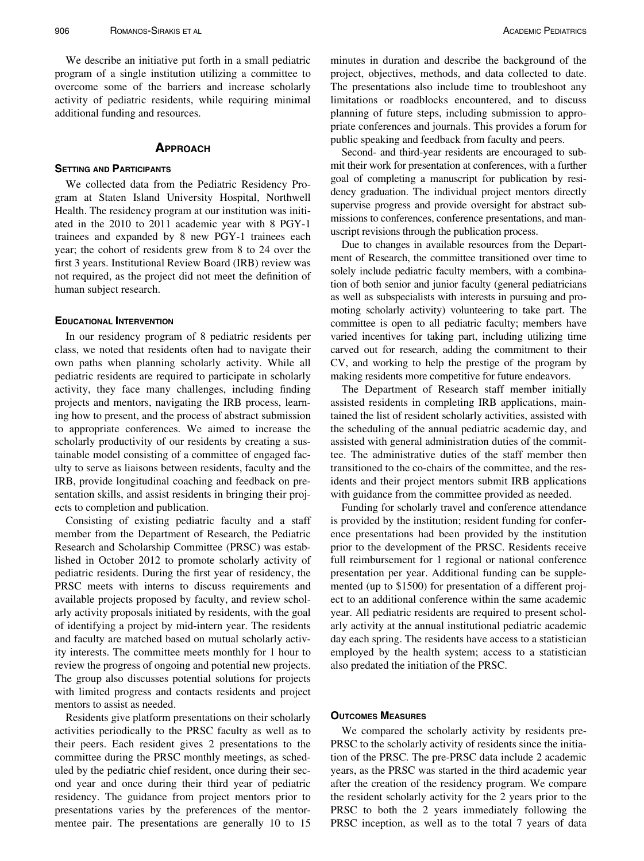We describe an initiative put forth in a small pediatric program of a single institution utilizing a committee to overcome some of the barriers and increase scholarly activity of pediatric residents, while requiring minimal additional funding and resources.

## APPROACH

We collected data from the Pediatric Residency Program at Staten Island University Hospital, Northwell Health. The residency program at our institution was initiated in the 2010 to 2011 academic year with 8 PGY-1 trainees and expanded by 8 new PGY-1 trainees each year; the cohort of residents grew from 8 to 24 over the first 3 years. Institutional Review Board (IRB) review was not required, as the project did not meet the definition of human subject research.

In our residency program of 8 pediatric residents per class, we noted that residents often had to navigate their own paths when planning scholarly activity. While all pediatric residents are required to participate in scholarly activity, they face many challenges, including finding projects and mentors, navigating the IRB process, learning how to present, and the process of abstract submission to appropriate conferences. We aimed to increase the scholarly productivity of our residents by creating a sustainable model consisting of a committee of engaged faculty to serve as liaisons between residents, faculty and the IRB, provide longitudinal coaching and feedback on presentation skills, and assist residents in bringing their projects to completion and publication.

Consisting of existing pediatric faculty and a staff member from the Department of Research, the Pediatric Research and Scholarship Committee (PRSC) was established in October 2012 to promote scholarly activity of pediatric residents. During the first year of residency, the PRSC meets with interns to discuss requirements and available projects proposed by faculty, and review scholarly activity proposals initiated by residents, with the goal of identifying a project by mid-intern year. The residents and faculty are matched based on mutual scholarly activity interests. The committee meets monthly for 1 hour to review the progress of ongoing and potential new projects. The group also discusses potential solutions for projects with limited progress and contacts residents and project mentors to assist as needed.

Residents give platform presentations on their scholarly activities periodically to the PRSC faculty as well as to their peers. Each resident gives 2 presentations to the committee during the PRSC monthly meetings, as scheduled by the pediatric chief resident, once during their second year and once during their third year of pediatric residency. The guidance from project mentors prior to presentations varies by the preferences of the mentormentee pair. The presentations are generally 10 to 15 minutes in duration and describe the background of the project, objectives, methods, and data collected to date. The presentations also include time to troubleshoot any limitations or roadblocks encountered, and to discuss planning of future steps, including submission to appropriate conferences and journals. This provides a forum for public speaking and feedback from faculty and peers.

Second- and third-year residents are encouraged to submit their work for presentation at conferences, with a further goal of completing a manuscript for publication by residency graduation. The individual project mentors directly supervise progress and provide oversight for abstract submissions to conferences, conference presentations, and manuscript revisions through the publication process.

Due to changes in available resources from the Department of Research, the committee transitioned over time to solely include pediatric faculty members, with a combination of both senior and junior faculty (general pediatricians as well as subspecialists with interests in pursuing and promoting scholarly activity) volunteering to take part. The committee is open to all pediatric faculty; members have varied incentives for taking part, including utilizing time carved out for research, adding the commitment to their CV, and working to help the prestige of the program by making residents more competitive for future endeavors.

The Department of Research staff member initially assisted residents in completing IRB applications, maintained the list of resident scholarly activities, assisted with the scheduling of the annual pediatric academic day, and assisted with general administration duties of the committee. The administrative duties of the staff member then transitioned to the co-chairs of the committee, and the residents and their project mentors submit IRB applications with guidance from the committee provided as needed.

Funding for scholarly travel and conference attendance is provided by the institution; resident funding for conference presentations had been provided by the institution prior to the development of the PRSC. Residents receive full reimbursement for 1 regional or national conference presentation per year. Additional funding can be supplemented (up to \$1500) for presentation of a different project to an additional conference within the same academic year. All pediatric residents are required to present scholarly activity at the annual institutional pediatric academic day each spring. The residents have access to a statistician employed by the health system; access to a statistician also predated the initiation of the PRSC.

### **OUTCOMES MEASURES**

We compared the scholarly activity by residents pre-PRSC to the scholarly activity of residents since the initiation of the PRSC. The pre-PRSC data include 2 academic years, as the PRSC was started in the third academic year after the creation of the residency program. We compare the resident scholarly activity for the 2 years prior to the PRSC to both the 2 years immediately following the PRSC inception, as well as to the total 7 years of data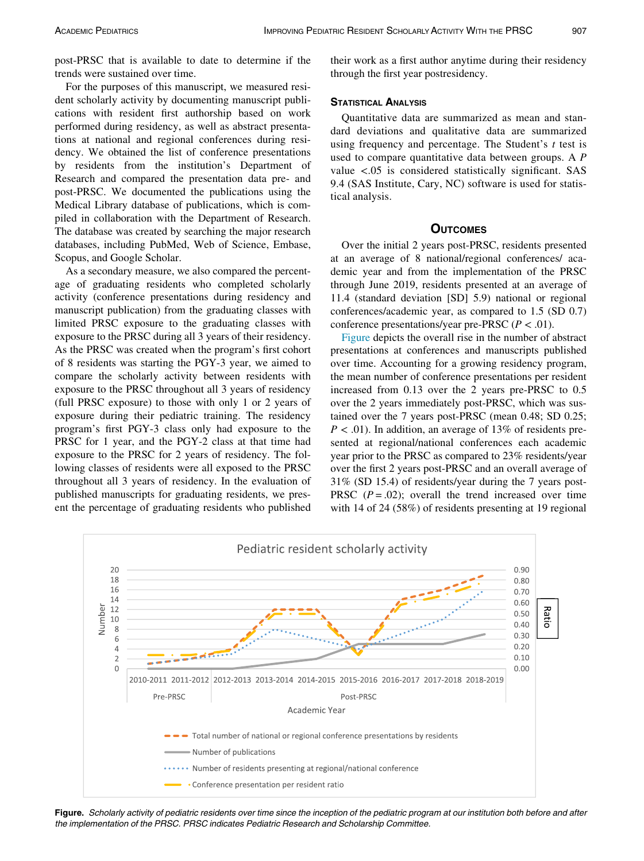For the purposes of this manuscript, we measured resident scholarly activity by documenting manuscript publications with resident first authorship based on work performed during residency, as well as abstract presentations at national and regional conferences during residency. We obtained the list of conference presentations by residents from the institution's Department of Research and compared the presentation data pre- and post-PRSC. We documented the publications using the Medical Library database of publications, which is compiled in collaboration with the Department of Research. The database was created by searching the major research databases, including PubMed, Web of Science, Embase, Scopus, and Google Scholar.

As a secondary measure, we also compared the percentage of graduating residents who completed scholarly activity (conference presentations during residency and manuscript publication) from the graduating classes with limited PRSC exposure to the graduating classes with exposure to the PRSC during all 3 years of their residency. As the PRSC was created when the program's first cohort of 8 residents was starting the PGY-3 year, we aimed to compare the scholarly activity between residents with exposure to the PRSC throughout all 3 years of residency (full PRSC exposure) to those with only 1 or 2 years of exposure during their pediatric training. The residency program's first PGY-3 class only had exposure to the PRSC for 1 year, and the PGY-2 class at that time had exposure to the PRSC for 2 years of residency. The following classes of residents were all exposed to the PRSC throughout all 3 years of residency. In the evaluation of published manuscripts for graduating residents, we present the percentage of graduating residents who published

their work as a first author anytime during their residency through the first year postresidency.

Quantitative data are summarized as mean and standard deviations and qualitative data are summarized using frequency and percentage. The Student's  $t$  test is used to compare quantitative data between groups. A P value <.05 is considered statistically significant. SAS 9.4 (SAS Institute, Cary, NC) software is used for statistical analysis.

Over the initial 2 years post-PRSC, residents presented at an average of 8 national/regional conferences/ academic year and from the implementation of the PRSC through June 2019, residents presented at an average of 11.4 (standard deviation [SD] 5.9) national or regional conferences/academic year, as compared to 1.5 (SD 0.7) conference presentations/year pre-PRSC  $(P < .01)$ .

[Figure](#page-2-0) depicts the overall rise in the number of abstract presentations at conferences and manuscripts published over time. Accounting for a growing residency program, the mean number of conference presentations per resident increased from 0.13 over the 2 years pre-PRSC to 0.5 over the 2 years immediately post-PRSC, which was sustained over the 7 years post-PRSC (mean 0.48; SD 0.25;  $P < .01$ ). In addition, an average of 13% of residents presented at regional/national conferences each academic year prior to the PRSC as compared to 23% residents/year over the first 2 years post-PRSC and an overall average of 31% (SD 15.4) of residents/year during the 7 years post-PRSC  $(P = .02)$ ; overall the trend increased over time with 14 of 24 (58%) of residents presenting at 19 regional

<span id="page-2-0"></span>

Figure. Scholarly activity of pediatric residents over time since the inception of the pediatric program at our institution both before and after the implementation of the PRSC. PRSC indicates Pediatric Research and Scholarship Committee.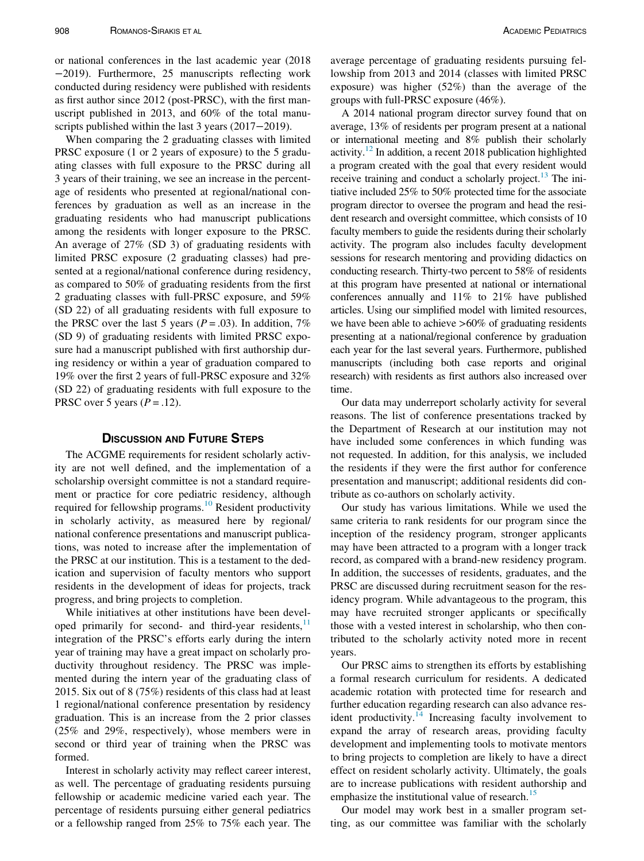or national conferences in the last academic year (2018 −2019). Furthermore, 25 manuscripts reflecting work conducted during residency were published with residents as first author since 2012 (post-PRSC), with the first manuscript published in 2013, and 60% of the total manuscripts published within the last 3 years (2017−2019).

When comparing the 2 graduating classes with limited PRSC exposure (1 or 2 years of exposure) to the 5 graduating classes with full exposure to the PRSC during all 3 years of their training, we see an increase in the percentage of residents who presented at regional/national conferences by graduation as well as an increase in the graduating residents who had manuscript publications among the residents with longer exposure to the PRSC. An average of 27% (SD 3) of graduating residents with limited PRSC exposure (2 graduating classes) had presented at a regional/national conference during residency, as compared to 50% of graduating residents from the first 2 graduating classes with full-PRSC exposure, and 59% (SD 22) of all graduating residents with full exposure to the PRSC over the last 5 years ( $P = .03$ ). In addition, 7% (SD 9) of graduating residents with limited PRSC exposure had a manuscript published with first authorship during residency or within a year of graduation compared to 19% over the first 2 years of full-PRSC exposure and 32% (SD 22) of graduating residents with full exposure to the PRSC over 5 years ( $P = .12$ ).

The ACGME requirements for resident scholarly activity are not well defined, and the implementation of a scholarship oversight committee is not a standard requirement or practice for core pediatric residency, although required for fellowship programs.<sup>[10](#page-4-6)</sup> Resident productivity in scholarly activity, as measured here by regional/ national conference presentations and manuscript publications, was noted to increase after the implementation of the PRSC at our institution. This is a testament to the dedication and supervision of faculty mentors who support residents in the development of ideas for projects, track progress, and bring projects to completion.

While initiatives at other institutions have been developed primarily for second- and third-year residents, $\frac{11}{11}$  $\frac{11}{11}$  $\frac{11}{11}$ integration of the PRSC's efforts early during the intern year of training may have a great impact on scholarly productivity throughout residency. The PRSC was implemented during the intern year of the graduating class of 2015. Six out of 8 (75%) residents of this class had at least 1 regional/national conference presentation by residency graduation. This is an increase from the 2 prior classes (25% and 29%, respectively), whose members were in second or third year of training when the PRSC was formed.

Interest in scholarly activity may reflect career interest, as well. The percentage of graduating residents pursuing fellowship or academic medicine varied each year. The percentage of residents pursuing either general pediatrics or a fellowship ranged from 25% to 75% each year. The average percentage of graduating residents pursuing fellowship from 2013 and 2014 (classes with limited PRSC exposure) was higher (52%) than the average of the groups with full-PRSC exposure (46%).

A 2014 national program director survey found that on average, 13% of residents per program present at a national or international meeting and 8% publish their scholarly activity.<sup>[12](#page-4-8)</sup> In addition, a recent 2018 publication highlighted a program created with the goal that every resident would receive training and conduct a scholarly project.<sup>[13](#page-4-9)</sup> The initiative included 25% to 50% protected time for the associate program director to oversee the program and head the resident research and oversight committee, which consists of 10 faculty members to guide the residents during their scholarly activity. The program also includes faculty development sessions for research mentoring and providing didactics on conducting research. Thirty-two percent to 58% of residents at this program have presented at national or international conferences annually and 11% to 21% have published articles. Using our simplified model with limited resources, we have been able to achieve >60% of graduating residents presenting at a national/regional conference by graduation each year for the last several years. Furthermore, published manuscripts (including both case reports and original research) with residents as first authors also increased over time.

Our data may underreport scholarly activity for several reasons. The list of conference presentations tracked by the Department of Research at our institution may not have included some conferences in which funding was not requested. In addition, for this analysis, we included the residents if they were the first author for conference presentation and manuscript; additional residents did contribute as co-authors on scholarly activity.

Our study has various limitations. While we used the same criteria to rank residents for our program since the inception of the residency program, stronger applicants may have been attracted to a program with a longer track record, as compared with a brand-new residency program. In addition, the successes of residents, graduates, and the PRSC are discussed during recruitment season for the residency program. While advantageous to the program, this may have recruited stronger applicants or specifically those with a vested interest in scholarship, who then contributed to the scholarly activity noted more in recent years.

Our PRSC aims to strengthen its efforts by establishing a formal research curriculum for residents. A dedicated academic rotation with protected time for research and further education regarding research can also advance resident productivity. $14$  Increasing faculty involvement to expand the array of research areas, providing faculty development and implementing tools to motivate mentors to bring projects to completion are likely to have a direct effect on resident scholarly activity. Ultimately, the goals are to increase publications with resident authorship and emphasize the institutional value of research.<sup>[15](#page-4-11)</sup>

Our model may work best in a smaller program setting, as our committee was familiar with the scholarly